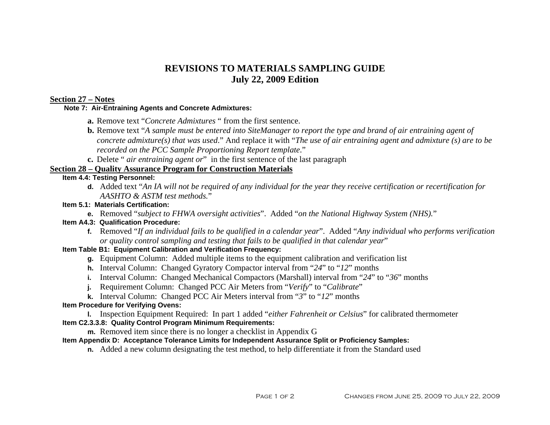# **REVISIONS TO MATERIALS SAMPLING GUIDE July 22, 2009 Edition**

### **Section 27 – Notes**

#### **Note 7: Air-Entraining Agents and Concrete Admixtures:**

- **a.** Remove text "*Concrete Admixtures* " from the first sentence.
- **b.** Remove text "*A sample must be entered into SiteManager to report the type and brand of air entraining agent of concrete admixture(s) that was used*." And replace it with "*The use of air entraining agent and admixture (s) are to be recorded on the PCC Sample Proportioning Report template*."
- **c.** Delete " *air entraining agent or*" in the first sentence of the last paragraph

# **Section 28 – Quality Assurance Program for Construction Materials**

#### **Item 4.4: Testing Personnel:**

**d.** Added text "*An IA will not be required of any individual for the year they receive certification or recertification for AASHTO & ASTM test methods.*"

#### **Item 5.1: Materials Certification:**

**e.** Removed "*subject to FHWA oversight activities*". Added "*on the National Highway System (NHS).*"

#### **Item A4.3: Qualification Procedure:**

**f.** Removed "*If an individual fails to be qualified in a calendar year*". Added "*Any individual who performs verification or quality control sampling and testing that fails to be qualified in that calendar year*"

# **Item Table B1: Equipment Calibration and Verification Frequency:**

- **g.** Equipment Column: Added multiple items to the equipment calibration and verification list
- **h.** Interval Column: Changed Gyratory Compactor interval from "*24*" to "*12*" months
- **i.** Interval Column: Changed Mechanical Compactors (Marshall) interval from "*24*" to "*36*" months
- **j.** Requirement Column: Changed PCC Air Meters from "*Verify*" to "*Calibrate*"
- **k.** Interval Column: Changed PCC Air Meters interval from " *3*" to "*12*" months

## **Item Procedure for Verifying Ovens:**

**l.** Inspection Equipment Required: In part 1 added "*either Fahrenheit or Celsius*" for calibrated thermometer **Item C2.3.3.8: Quality Control Program Minimum Requirements:** 

**m.** Removed item since there is no longer a checklist in Appendix G

## **Item Appendix D: Acceptance Tolerance Limits for Independent Assurance Split or Proficiency Samples:**

**n.** Added a new column designating the test method, to help differentiate it from the Standard used